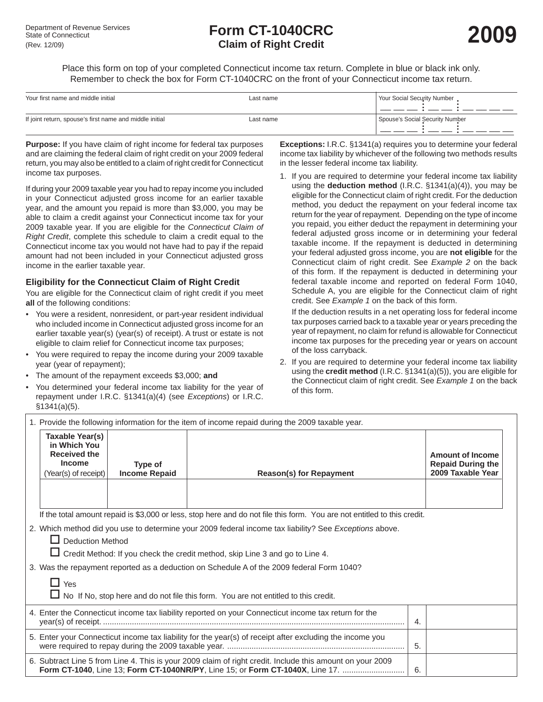# <table>\n<tbody>\n<tr>\n<th>Department of Revenue Services</th>\n<th>Form CT-1040CRC</th>\n</tr>\n<tr>\n<td>State of Connecticut</td>\n<td>2009</td>\n</tr>\n<tr>\n<td>(Rev. 12/09)</td>\n<td>Claim of Right Credit</td>\n</tr>\n</tbody>\n</table> **Claim of Right Credit**

Place this form on top of your completed Connecticut income tax return. Complete in blue or black ink only. Remember to check the box for Form CT-1040CRC on the front of your Connecticut income tax return.

| Your first name and middle initial                      | Last name | <b>Your Social Security Number</b> |
|---------------------------------------------------------|-----------|------------------------------------|
| If joint return, spouse's first name and middle initial | Last name | Spouse's Social Security Number    |

**Purpose:** If you have claim of right income for federal tax purposes and are claiming the federal claim of right credit on your 2009 federal return, you may also be entitled to a claim of right credit for Connecticut income tax purposes.

If during your 2009 taxable year you had to repay income you included in your Connecticut adjusted gross income for an earlier taxable year, and the amount you repaid is more than \$3,000, you may be able to claim a credit against your Connecticut income tax for your 2009 taxable year. If you are eligible for the *Connecticut Claim of Right Credit*, complete this schedule to claim a credit equal to the Connecticut income tax you would not have had to pay if the repaid amount had not been included in your Connecticut adjusted gross income in the earlier taxable year.

## **Eligibility for the Connecticut Claim of Right Credit**

You are eligible for the Connecticut claim of right credit if you meet **all** of the following conditions:

- You were a resident, nonresident, or part-year resident individual who included income in Connecticut adjusted gross income for an earlier taxable year(s) (year(s) of receipt). A trust or estate is not eligible to claim relief for Connecticut income tax purposes;
- You were required to repay the income during your 2009 taxable year (year of repayment);
- The amount of the repayment exceeds \$3,000; **and**
- You determined your federal income tax liability for the year of repayment under I.R.C. §1341(a)(4) (see *Exceptions*) or I.R.C. §1341(a)(5).

**Exceptions:** I.R.C. §1341(a) requires you to determine your federal income tax liability by whichever of the following two methods results in the lesser federal income tax liability.

1. If you are required to determine your federal income tax liability using the **deduction method** (I.R.C. §1341(a)(4)), you may be eligible for the Connecticut claim of right credit. For the deduction method, you deduct the repayment on your federal income tax return for the year of repayment. Depending on the type of income you repaid, you either deduct the repayment in determining your federal adjusted gross income or in determining your federal taxable income. If the repayment is deducted in determining your federal adjusted gross income, you are **not eligible** for the Connecticut claim of right credit. See *Example 2* on the back of this form. If the repayment is deducted in determining your federal taxable income and reported on federal Form 1040, Schedule A, you are eligible for the Connecticut claim of right credit. See *Example 1* on the back of this form.

 If the deduction results in a net operating loss for federal income tax purposes carried back to a taxable year or years preceding the year of repayment, no claim for refund is allowable for Connecticut income tax purposes for the preceding year or years on account of the loss carryback.

2. If you are required to determine your federal income tax liability using the **credit method** (I.R.C. §1341(a)(5)), you are eligible for the Connecticut claim of right credit. See *Example 1* on the back of this form.

| 1. Provide the following information for the item of income repaid during the 2009 taxable year.                                  |                                 |                                                                                                                                                                                            |    |                                                                          |  |
|-----------------------------------------------------------------------------------------------------------------------------------|---------------------------------|--------------------------------------------------------------------------------------------------------------------------------------------------------------------------------------------|----|--------------------------------------------------------------------------|--|
| Taxable Year(s)<br>in Which You<br><b>Received the</b><br><b>Income</b><br>(Year(s) of receipt)                                   | Type of<br><b>Income Repaid</b> | <b>Reason(s) for Repayment</b>                                                                                                                                                             |    | <b>Amount of Income</b><br><b>Repaid During the</b><br>2009 Taxable Year |  |
|                                                                                                                                   |                                 | If the total amount repaid is \$3,000 or less, stop here and do not file this form. You are not entitled to this credit.                                                                   |    |                                                                          |  |
|                                                                                                                                   |                                 |                                                                                                                                                                                            |    |                                                                          |  |
| 2. Which method did you use to determine your 2009 federal income tax liability? See Exceptions above.<br>$\Box$ Deduction Method |                                 |                                                                                                                                                                                            |    |                                                                          |  |
| $\Box$ Credit Method: If you check the credit method, skip Line 3 and go to Line 4.                                               |                                 |                                                                                                                                                                                            |    |                                                                          |  |
|                                                                                                                                   |                                 |                                                                                                                                                                                            |    |                                                                          |  |
| 3. Was the repayment reported as a deduction on Schedule A of the 2009 federal Form 1040?                                         |                                 |                                                                                                                                                                                            |    |                                                                          |  |
| $\Box$ Yes                                                                                                                        |                                 |                                                                                                                                                                                            |    |                                                                          |  |
| No If No, stop here and do not file this form. You are not entitled to this credit.                                               |                                 |                                                                                                                                                                                            |    |                                                                          |  |
| 4. Enter the Connecticut income tax liability reported on your Connecticut income tax return for the<br>$\overline{4}$ .          |                                 |                                                                                                                                                                                            |    |                                                                          |  |
|                                                                                                                                   |                                 | 5. Enter your Connecticut income tax liability for the year(s) of receipt after excluding the income you                                                                                   | 5. |                                                                          |  |
|                                                                                                                                   |                                 | 6. Subtract Line 5 from Line 4. This is your 2009 claim of right credit. Include this amount on your 2009<br>Form CT-1040, Line 13; Form CT-1040NR/PY, Line 15; or Form CT-1040X, Line 17. | 6. |                                                                          |  |